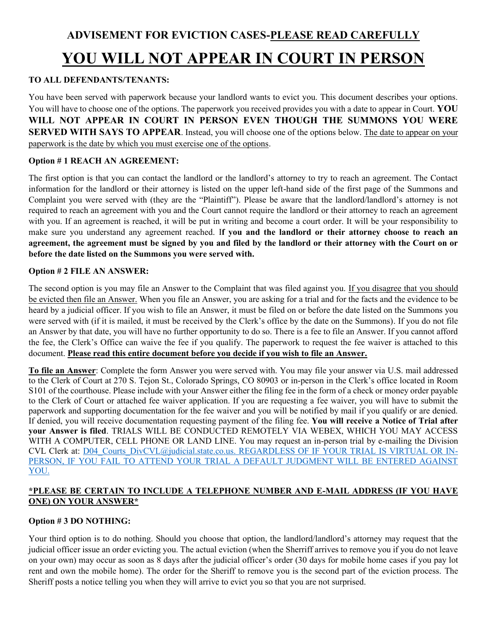#### **TO ALL DEFENDANTS/TENANTS:**

You have been served with paperwork because your landlord wants to evict you. This document describes your options. You will have to choose one of the options. The paperwork you received provides you with a date to appear in Court. **YOU WILL NOT APPEAR IN COURT IN PERSON EVEN THOUGH THE SUMMONS YOU WERE SERVED WITH SAYS TO APPEAR.** Instead, you will choose one of the options below. The date to appear on your paperwork is the date by which you must exercise one of the options.

### **Option # 1 REACH AN AGREEMENT:**

The first option is that you can contact the landlord or the landlord's attorney to try to reach an agreement. The Contact information for the landlord or their attorney is listed on the upper left-hand side of the first page of the Summons and Complaint you were served with (they are the "Plaintiff"). Please be aware that the landlord/landlord's attorney is not required to reach an agreement with you and the Court cannot require the landlord or their attorney to reach an agreement with you. If an agreement is reached, it will be put in writing and become a court order. It will be your responsibility to make sure you understand any agreement reached. I**f you and the landlord or their attorney choose to reach an agreement, the agreement must be signed by you and filed by the landlord or their attorney with the Court on or before the date listed on the Summons you were served with.**

### **Option # 2 FILE AN ANSWER:**

The second option is you may file an Answer to the Complaint that was filed against you. If you disagree that you should be evicted then file an Answer. When you file an Answer, you are asking for a trial and for the facts and the evidence to be heard by a judicial officer. If you wish to file an Answer, it must be filed on or before the date listed on the Summons you were served with (if it is mailed, it must be received by the Clerk's office by the date on the Summons). If you do not file an Answer by that date, you will have no further opportunity to do so. There is a fee to file an Answer. If you cannot afford the fee, the Clerk's Office can waive the fee if you qualify. The paperwork to request the fee waiver is attached to this document. **Please read this entire document before you decide if you wish to file an Answer.**

**To file an Answer**: Complete the form Answer you were served with. You may file your answer via U.S. mail addressed to the Clerk of Court at 270 S. Tejon St., Colorado Springs, CO 80903 or in-person in the Clerk's office located in Room S101 of the courthouse. Please include with your Answer either the filing fee in the form of a check or money order payable to the Clerk of Court or attached fee waiver application. If you are requesting a fee waiver, you will have to submit the paperwork and supporting documentation for the fee waiver and you will be notified by mail if you qualify or are denied. If denied, you will receive documentation requesting payment of the filing fee. **You will receive a Notice of Trial after your Answer is filed**. TRIALS WILL BE CONDUCTED REMOTELY VIA WEBEX, WHICH YOU MAY ACCESS WITH A COMPUTER, CELL PHONE OR LAND LINE. You may request an in-person trial by e-mailing the Division CVL Clerk at: [D04\\_Courts\\_DivCVL@judicial.state.co.us.](mailto:D04_Courts_DivCVL@judicial.state.co.us) REGARDLESS OF IF YOUR TRIAL IS VIRTUAL OR IN-PERSON, IF YOU FAIL TO ATTEND YOUR TRIAL A DEFAULT JUDGMENT WILL BE ENTERED AGAINST YOU.

### **\*PLEASE BE CERTAIN TO INCLUDE A TELEPHONE NUMBER AND E-MAIL ADDRESS (IF YOU HAVE ONE) ON YOUR ANSWER\***

## **Option # 3 DO NOTHING:**

Your third option is to do nothing. Should you choose that option, the landlord/landlord's attorney may request that the judicial officer issue an order evicting you. The actual eviction (when the Sherriff arrives to remove you if you do not leave on your own) may occur as soon as 8 days after the judicial officer's order (30 days for mobile home cases if you pay lot rent and own the mobile home). The order for the Sheriff to remove you is the second part of the eviction process. The Sheriff posts a notice telling you when they will arrive to evict you so that you are not surprised.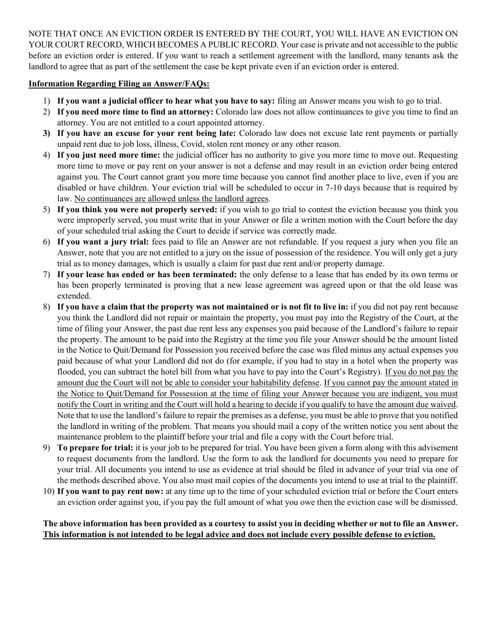NOTE THAT ONCE AN EVICTION ORDER IS ENTERED BY THE COURT, YOU WILL HAVE AN EVICTION ON YOUR COURT RECORD, WHICH BECOMES A PUBLIC RECORD. Your case is private and not accessible to the public before an eviction order is entered. If you want to reach a settlement agreement with the landlord, many tenants ask the landlord to agree that as part of the settlement the case be kept private even if an eviction order is entered.

#### **Information Regarding Filing an Answer/FAQs:**

- 1) **If you want a judicial officer to hear what you have to say:** filing an Answer means you wish to go to trial.
- 2) **If you need more time to find an attorney:** Colorado law does not allow continuances to give you time to find an attorney. You are not entitled to a court appointed attorney.
- **3) If you have an excuse for your rent being late:** Colorado law does not excuse late rent payments or partially unpaid rent due to job loss, illness, Covid, stolen rent money or any other reason.
- 4) **If you just need more time:** the judicial officer has no authority to give you more time to move out. Requesting more time to move or pay rent on your answer is not a defense and may result in an eviction order being entered against you. The Court cannot grant you more time because you cannot find another place to live, even if you are disabled or have children. Your eviction trial will be scheduled to occur in 7-10 days because that is required by law. No continuances are allowed unless the landlord agrees.
- 5) **If you think you were not properly served:** if you wish to go trial to contest the eviction because you think you were improperly served, you must write that in your Answer or file a written motion with the Court before the day of your scheduled trial asking the Court to decide if service was correctly made.
- 6) **If you want a jury trial:** fees paid to file an Answer are not refundable. If you request a jury when you file an Answer, note that you are not entitled to a jury on the issue of possession of the residence. You will only get a jury trial as to money damages, which is usually a claim for past due rent and/or property damage.
- 7) **If your lease has ended or has been terminated:** the only defense to a lease that has ended by its own terms or has been properly terminated is proving that a new lease agreement was agreed upon or that the old lease was extended.
- 8) **If you have a claim that the property was not maintained or is not fit to live in:** if you did not pay rent because you think the Landlord did not repair or maintain the property, you must pay into the Registry of the Court, at the time of filing your Answer, the past due rent less any expenses you paid because of the Landlord's failure to repair the property. The amount to be paid into the Registry at the time you file your Answer should be the amount listed in the Notice to Quit/Demand for Possession you received before the case was filed minus any actual expenses you paid because of what your Landlord did not do (for example, if you had to stay in a hotel when the property was flooded, you can subtract the hotel bill from what you have to pay into the Court's Registry). If you do not pay the amount due the Court will not be able to consider your habitability defense. If you cannot pay the amount stated in the Notice to Quit/Demand for Possession at the time of filing your Answer because you are indigent, you must notify the Court in writing and the Court will hold a hearing to decide if you qualify to have the amount due waived. Note that to use the landlord's failure to repair the premises as a defense, you must be able to prove that you notified the landlord in writing of the problem. That means you should mail a copy of the written notice you sent about the maintenance problem to the plaintiff before your trial and file a copy with the Court before trial.
- 9) **To prepare for trial:** it is your job to be prepared for trial. You have been given a form along with this advisement to request documents from the landlord. Use the form to ask the landlord for documents you need to prepare for your trial. All documents you intend to use as evidence at trial should be filed in advance of your trial via one of the methods described above. You also must mail copies of the documents you intend to use at trial to the plaintiff.
- 10) **If you want to pay rent now:** at any time up to the time of your scheduled eviction trial or before the Court enters an eviction order against you, if you pay the full amount of what you owe then the eviction case will be dismissed.

#### **The above information has been provided as a courtesy to assist you in deciding whether or not to file an Answer. This information is not intended to be legal advice and does not include every possible defense to eviction.**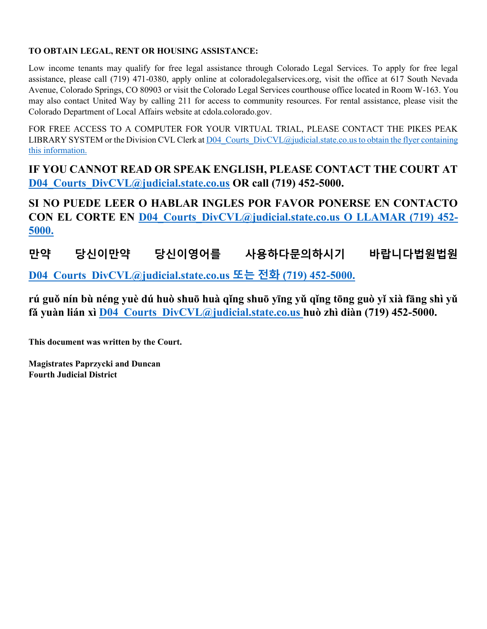### **TO OBTAIN LEGAL, RENT OR HOUSING ASSISTANCE:**

Low income tenants may qualify for free legal assistance through Colorado Legal Services. To apply for free legal assistance, please call (719) 471-0380, apply online at coloradolegalservices.org, visit the office at 617 South Nevada Avenue, Colorado Springs, CO 80903 or visit the Colorado Legal Services courthouse office located in Room W-163. You may also contact United Way by calling 211 for access to community resources. For rental assistance, please visit the Colorado Department of Local Affairs website at cdola.colorado.gov.

FOR FREE ACCESS TO A COMPUTER FOR YOUR VIRTUAL TRIAL, PLEASE CONTACT THE PIKES PEAK LIBRARY SYSTEM or the Division CVL Clerk at D04 Courts DivCVL@judicial.state.co.us to obtain the flyer containing this information.

**IF YOU CANNOT READ OR SPEAK ENGLISH, PLEASE CONTACT THE COURT AT [D04\\_Courts\\_DivCVL@judicial.state.co.us](mailto:D04_Courts_DivCVL@judicial.state.co.us) OR call (719) 452-5000.** 

**SI NO PUEDE LEER O HABLAR INGLES POR FAVOR PONERSE EN CONTACTO CON EL CORTE EN [D04\\_Courts\\_DivCVL@judicial.state.co.us](mailto:D04_Courts_DivCVL@judicial.state.co.us) O LLAMAR (719) 452- 5000.**

**만약 당신이만약 당신이영어를 사용하다문의하시기 바랍니다법원법원**

**[D04\\_Courts\\_DivCVL@judicial.state.co.us](mailto:D04_Courts_DivCVL@judicial.state.co.us) 또는 전화 (719) 452-5000.**

**rú guǒ nín bù néng yuè dú huò shuō huà qǐng shuō yīng yǔ qǐng tōng guò yǐ xià fāng shì yǔ fǎ yuàn lián xì [D04\\_Courts\\_DivCVL@judicial.state.co.us](mailto:D04_Courts_DivCVL@judicial.state.co.us) huò zhì diàn (719) 452-5000.**

**This document was written by the Court.**

**Magistrates Paprzycki and Duncan Fourth Judicial District**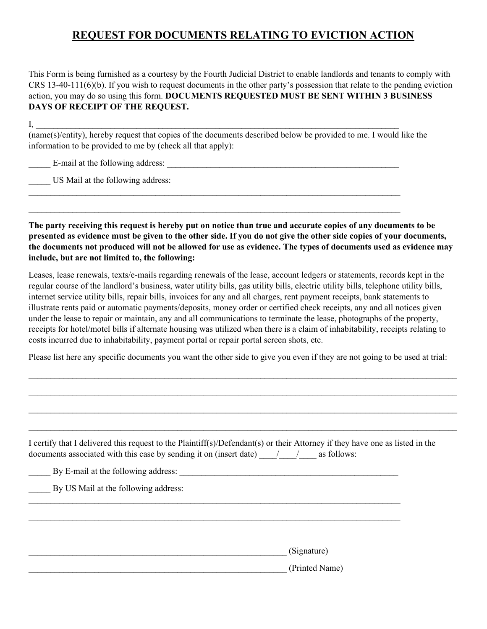# **REQUEST FOR DOCUMENTS RELATING TO EVICTION ACTION**

This Form is being furnished as a courtesy by the Fourth Judicial District to enable landlords and tenants to comply with CRS 13-40-111(6)(b). If you wish to request documents in the other party's possession that relate to the pending eviction action, you may do so using this form. **DOCUMENTS REQUESTED MUST BE SENT WITHIN 3 BUSINESS DAYS OF RECEIPT OF THE REQUEST.**

 $\text{I},$ (name(s)/entity), hereby request that copies of the documents described below be provided to me. I would like the information to be provided to me by (check all that apply):

 $\mathcal{L}_\text{max} = \mathcal{L}_\text{max} = \mathcal{L}_\text{max} = \mathcal{L}_\text{max} = \mathcal{L}_\text{max} = \mathcal{L}_\text{max} = \mathcal{L}_\text{max} = \mathcal{L}_\text{max} = \mathcal{L}_\text{max} = \mathcal{L}_\text{max} = \mathcal{L}_\text{max} = \mathcal{L}_\text{max} = \mathcal{L}_\text{max} = \mathcal{L}_\text{max} = \mathcal{L}_\text{max} = \mathcal{L}_\text{max} = \mathcal{L}_\text{max} = \mathcal{L}_\text{max} = \mathcal{$ 

 $\mathcal{L}_\text{max}$  , and the contribution of the contribution of the contribution of the contribution of the contribution of the contribution of the contribution of the contribution of the contribution of the contribution of t

E-mail at the following address:

US Mail at the following address:

**The party receiving this request is hereby put on notice than true and accurate copies of any documents to be presented as evidence must be given to the other side. If you do not give the other side copies of your documents, the documents not produced will not be allowed for use as evidence. The types of documents used as evidence may include, but are not limited to, the following:**

Leases, lease renewals, texts/e-mails regarding renewals of the lease, account ledgers or statements, records kept in the regular course of the landlord's business, water utility bills, gas utility bills, electric utility bills, telephone utility bills, internet service utility bills, repair bills, invoices for any and all charges, rent payment receipts, bank statements to illustrate rents paid or automatic payments/deposits, money order or certified check receipts, any and all notices given under the lease to repair or maintain, any and all communications to terminate the lease, photographs of the property, receipts for hotel/motel bills if alternate housing was utilized when there is a claim of inhabitability, receipts relating to costs incurred due to inhabitability, payment portal or repair portal screen shots, etc.

Please list here any specific documents you want the other side to give you even if they are not going to be used at trial:

| I certify that I delivered this request to the Plaintiff(s)/Defendant(s) or their Attorney if they have one as listed in the<br>documents associated with this case by sending it on (insert date) / / as follows: |  |
|--------------------------------------------------------------------------------------------------------------------------------------------------------------------------------------------------------------------|--|
| By E-mail at the following address:                                                                                                                                                                                |  |
| By US Mail at the following address:                                                                                                                                                                               |  |
|                                                                                                                                                                                                                    |  |
|                                                                                                                                                                                                                    |  |
| (Signature)                                                                                                                                                                                                        |  |
| (Printed Name)                                                                                                                                                                                                     |  |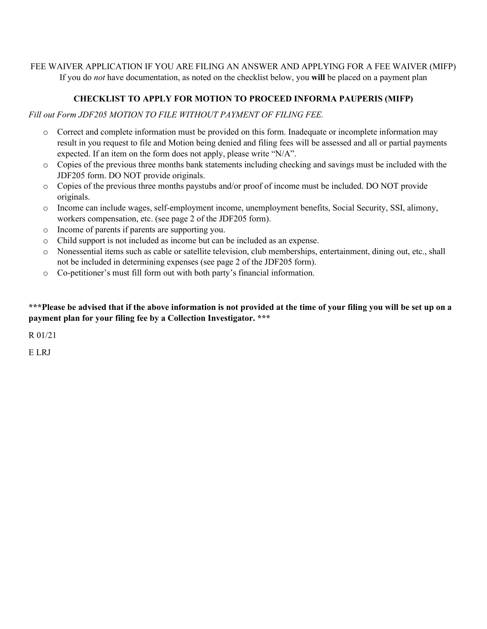FEE WAIVER APPLICATION IF YOU ARE FILING AN ANSWER AND APPLYING FOR A FEE WAIVER (MIFP) If you do *not* have documentation, as noted on the checklist below, you **will** be placed on a payment plan

# **CHECKLIST TO APPLY FOR MOTION TO PROCEED INFORMA PAUPERIS (MIFP)**

*Fill out Form JDF205 MOTION TO FILE WITHOUT PAYMENT OF FILING FEE.*

- o Correct and complete information must be provided on this form. Inadequate or incomplete information may result in you request to file and Motion being denied and filing fees will be assessed and all or partial payments expected. If an item on the form does not apply, please write "N/A".
- o Copies of the previous three months bank statements including checking and savings must be included with the JDF205 form. DO NOT provide originals.
- o Copies of the previous three months paystubs and/or proof of income must be included. DO NOT provide originals.
- o Income can include wages, self-employment income, unemployment benefits, Social Security, SSI, alimony, workers compensation, etc. (see page 2 of the JDF205 form).
- o Income of parents if parents are supporting you.
- o Child support is not included as income but can be included as an expense.
- o Nonessential items such as cable or satellite television, club memberships, entertainment, dining out, etc., shall not be included in determining expenses (see page 2 of the JDF205 form).
- o Co-petitioner's must fill form out with both party's financial information.

**\*\*\*Please be advised that if the above information is not provided at the time of your filing you will be set up on a payment plan for your filing fee by a Collection Investigator. \*\*\***

R 01/21

E LRJ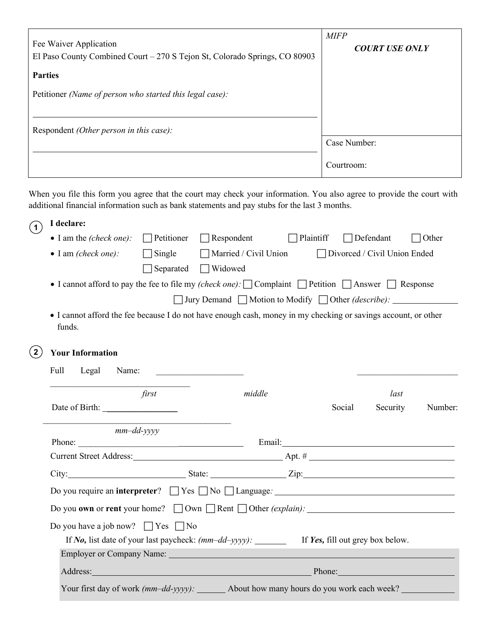| Fee Waiver Application<br>El Paso County Combined Court – 270 S Tejon St, Colorado Springs, CO 80903                                                                                                                   | <b>MIFP</b><br><b>COURT USE ONLY</b> |
|------------------------------------------------------------------------------------------------------------------------------------------------------------------------------------------------------------------------|--------------------------------------|
| <b>Parties</b>                                                                                                                                                                                                         |                                      |
| Petitioner (Name of person who started this legal case):                                                                                                                                                               |                                      |
|                                                                                                                                                                                                                        |                                      |
| Respondent <i>(Other person in this case)</i> :                                                                                                                                                                        |                                      |
|                                                                                                                                                                                                                        | Case Number:                         |
|                                                                                                                                                                                                                        | Courtroom:                           |
| When you file this form you agree that the court may check your information. You also agree to provide the court with<br>additional financial information such as bank statements and pay stubs for the last 3 months. |                                      |

| (1)         | I declare:                                                                                                               |                   |                                                                                                                                                                                                                                |                  |                  |                                |         |
|-------------|--------------------------------------------------------------------------------------------------------------------------|-------------------|--------------------------------------------------------------------------------------------------------------------------------------------------------------------------------------------------------------------------------|------------------|------------------|--------------------------------|---------|
|             | $\bullet$ I am the <i>(check one)</i> :                                                                                  | $\Box$ Petitioner | $\Box$ Respondent                                                                                                                                                                                                              | $\Box$ Plaintiff | $\Box$ Defendant |                                | Other   |
|             | $\bullet$ I am (check one):                                                                                              | $\Box$ Single     | Married / Civil Union                                                                                                                                                                                                          |                  |                  | □ Divorced / Civil Union Ended |         |
|             |                                                                                                                          | Separated         | $\Box$ Widowed                                                                                                                                                                                                                 |                  |                  |                                |         |
|             | • I cannot afford to pay the fee to file my (check one): $\Box$ Complaint $\Box$ Petition $\Box$ Answer $\Box$ Response  |                   |                                                                                                                                                                                                                                |                  |                  |                                |         |
|             |                                                                                                                          |                   | □ Jury Demand ■ Motion to Modify ■ Other (describe): ___________________________                                                                                                                                               |                  |                  |                                |         |
|             | • I cannot afford the fee because I do not have enough cash, money in my checking or savings account, or other<br>funds. |                   |                                                                                                                                                                                                                                |                  |                  |                                |         |
| $2^{\circ}$ | <b>Your Information</b>                                                                                                  |                   |                                                                                                                                                                                                                                |                  |                  |                                |         |
|             | Full<br>Legal<br>Name:                                                                                                   |                   |                                                                                                                                                                                                                                |                  |                  |                                |         |
|             |                                                                                                                          | first             | middle                                                                                                                                                                                                                         |                  |                  | last                           |         |
|             |                                                                                                                          |                   |                                                                                                                                                                                                                                |                  | Social           | Security                       | Number: |
|             | $mm$ -dd-yyyy                                                                                                            |                   |                                                                                                                                                                                                                                |                  |                  |                                |         |
|             |                                                                                                                          |                   |                                                                                                                                                                                                                                |                  |                  |                                |         |
|             |                                                                                                                          |                   |                                                                                                                                                                                                                                |                  |                  |                                |         |
|             |                                                                                                                          |                   |                                                                                                                                                                                                                                |                  |                  |                                |         |
|             |                                                                                                                          |                   |                                                                                                                                                                                                                                |                  |                  |                                |         |
|             | Do you own or rent your home? $\Box$ Own $\Box$ Rent $\Box$ Other <i>(explain)</i> : $\Box$                              |                   |                                                                                                                                                                                                                                |                  |                  |                                |         |
|             | Do you have a job now? $\Box$ Yes $\Box$ No                                                                              |                   |                                                                                                                                                                                                                                |                  |                  |                                |         |
|             |                                                                                                                          |                   |                                                                                                                                                                                                                                |                  |                  |                                |         |
|             |                                                                                                                          |                   | Employer or Company Name: 1988 and 2008 and 2008 and 2008 and 2008 and 2008 and 2008 and 2008 and 2008 and 200                                                                                                                 |                  |                  |                                |         |
|             |                                                                                                                          |                   | Address: Phone: Phone: Phone: Phone: Phone: Phone: Phone: Phone: Phone: Phone: Phone: Phone: Phone: Phone: Phone: Phone: Phone: Phone: Phone: Phone: Phone: Phone: Phone: Phone: Phone: Phone: Phone: Phone: Phone: Phone: Pho |                  |                  |                                |         |
|             |                                                                                                                          |                   | Your first day of work (mm-dd-yyyy): _______ About how many hours do you work each week? __________                                                                                                                            |                  |                  |                                |         |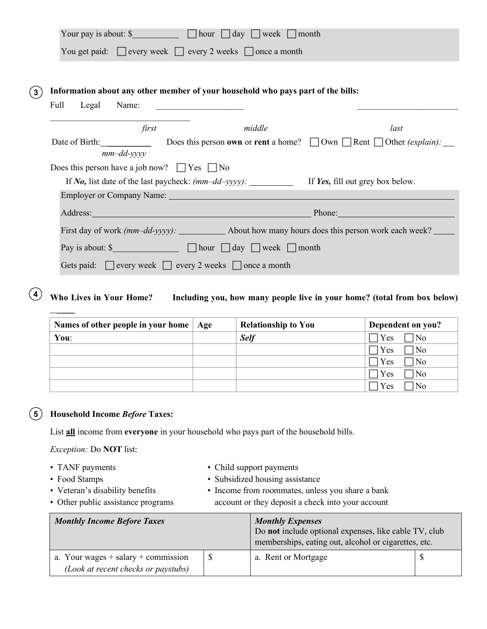|                |               |                                         | Your pay is about: $\frac{1}{2}$ $\frac{1}{2}$ $\frac{1}{2}$ $\frac{1}{2}$ $\frac{1}{2}$ $\frac{1}{2}$ $\frac{1}{2}$ $\frac{1}{2}$ $\frac{1}{2}$ $\frac{1}{2}$ $\frac{1}{2}$ $\frac{1}{2}$ $\frac{1}{2}$ $\frac{1}{2}$ $\frac{1}{2}$ $\frac{1}{2}$ $\frac{1}{2}$ |        |                                                                                                                                                                                                                                |
|----------------|---------------|-----------------------------------------|------------------------------------------------------------------------------------------------------------------------------------------------------------------------------------------------------------------------------------------------------------------|--------|--------------------------------------------------------------------------------------------------------------------------------------------------------------------------------------------------------------------------------|
|                |               |                                         | You get paid: □ every week □ every 2 weeks □ once a month                                                                                                                                                                                                        |        |                                                                                                                                                                                                                                |
|                |               |                                         |                                                                                                                                                                                                                                                                  |        |                                                                                                                                                                                                                                |
| $\overline{3}$ |               |                                         | Information about any other member of your household who pays part of the bills:                                                                                                                                                                                 |        |                                                                                                                                                                                                                                |
|                | Legal<br>Full |                                         | Name: $\qquad \qquad$                                                                                                                                                                                                                                            |        |                                                                                                                                                                                                                                |
|                |               | first                                   |                                                                                                                                                                                                                                                                  | middle | last                                                                                                                                                                                                                           |
|                |               |                                         |                                                                                                                                                                                                                                                                  |        | Date of Birth: Does this person own or rent a home? Down Rent Dother (explain):                                                                                                                                                |
|                |               | $mm$ -dd- $\gamma \gamma \gamma \gamma$ |                                                                                                                                                                                                                                                                  |        |                                                                                                                                                                                                                                |
|                |               |                                         | Does this person have a job now? $\Box$ Yes $\Box$ No                                                                                                                                                                                                            |        |                                                                                                                                                                                                                                |
|                |               |                                         |                                                                                                                                                                                                                                                                  |        | If No, list date of the last paycheck: $(mm-dd-yyyy)$ : $\qquad \qquad$ If Yes, fill out grey box below.                                                                                                                       |
|                |               |                                         |                                                                                                                                                                                                                                                                  |        |                                                                                                                                                                                                                                |
|                |               |                                         |                                                                                                                                                                                                                                                                  |        | Address: Phone: Phone: Phone: Phone: Phone: Phone: Phone: Phone: Phone: Phone: Phone: Phone: Phone: Phone: Phone: Phone: Phone: Phone: Phone: Phone: Phone: Phone: Phone: Phone: Phone: Phone: Phone: Phone: Phone: Phone: Pho |
|                |               |                                         |                                                                                                                                                                                                                                                                  |        |                                                                                                                                                                                                                                |
|                |               |                                         |                                                                                                                                                                                                                                                                  |        |                                                                                                                                                                                                                                |
|                |               |                                         | Gets paid: $\Box$ every week $\Box$ every 2 weeks $\Box$ once a month                                                                                                                                                                                            |        |                                                                                                                                                                                                                                |

**Who Lives in Your Home? Including you, how many people live in your home? (total from box below)**   $\left( 4\right)$ 

| Names of other people in your home | Age | <b>Relationship to You</b> | Dependent on you? |
|------------------------------------|-----|----------------------------|-------------------|
| You:                               |     | <b>Self</b>                | Yes<br>No         |
|                                    |     |                            | Yes<br>No         |
|                                    |     |                            | Yes<br>No         |
|                                    |     |                            | Yes<br>No         |
|                                    |     |                            | Yes<br>No         |

#### **Household Income** *Before* **Taxes: 5**

List **all** income from **everyone** in your household who pays part of the household bills.

*Exception:* Do **NOT** list:

• TANF payments • Child support payments

 $\overline{\phantom{a}}$ 

- 
- 
- Food Stamps Subsidized housing assistance
- Veteran's disability benefits Income from roommates, unless you share a bank
- Other public assistance programs account or they deposit a check into your account

| <b>Monthly Income Before Taxes</b>                                             |  | <b>Monthly Expenses</b><br>Do not include optional expenses, like cable TV, club<br>memberships, eating out, alcohol or cigarettes, etc. |  |  |
|--------------------------------------------------------------------------------|--|------------------------------------------------------------------------------------------------------------------------------------------|--|--|
| a. Your wages $+$ salary $+$ commission<br>(Look at recent checks or paystubs) |  | a. Rent or Mortgage                                                                                                                      |  |  |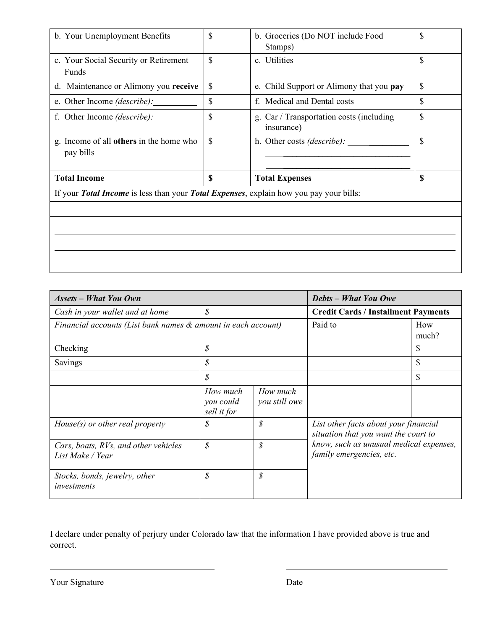| b. Your Unemployment Benefits                                                          | \$ | b. Groceries (Do NOT include Food<br>Stamps)           |    |  |
|----------------------------------------------------------------------------------------|----|--------------------------------------------------------|----|--|
| c. Your Social Security or Retirement<br>Funds                                         | \$ | c. Utilities                                           |    |  |
| d. Maintenance or Alimony you receive                                                  | \$ | e. Child Support or Alimony that you pay               |    |  |
| e. Other Income <i>(describe)</i> :                                                    | \$ | f. Medical and Dental costs                            | \$ |  |
| f. Other Income <i>(describe)</i> :                                                    | \$ | g. Car / Transportation costs (including<br>insurance) | \$ |  |
| g. Income of all <b>others</b> in the home who<br>pay bills                            | \$ | h. Other costs (describe): ______                      | \$ |  |
| <b>Total Income</b>                                                                    | \$ | <b>Total Expenses</b>                                  | \$ |  |
| If your Total Income is less than your Total Expenses, explain how you pay your bills: |    |                                                        |    |  |
|                                                                                        |    |                                                        |    |  |
|                                                                                        |    |                                                        |    |  |
|                                                                                        |    |                                                        |    |  |
|                                                                                        |    |                                                        |    |  |
|                                                                                        |    |                                                        |    |  |

| <b>Assets - What You Own</b>                                  |                                      |                           | <b>Debts - What You Owe</b>                                                                                                                          |              |
|---------------------------------------------------------------|--------------------------------------|---------------------------|------------------------------------------------------------------------------------------------------------------------------------------------------|--------------|
| Cash in your wallet and at home                               | \$                                   |                           | <b>Credit Cards / Installment Payments</b>                                                                                                           |              |
| Financial accounts (List bank names & amount in each account) |                                      |                           | Paid to                                                                                                                                              | How<br>much? |
| Checking                                                      | $\mathcal{S}$                        |                           |                                                                                                                                                      | \$           |
| Savings                                                       | $\mathcal{S}_{0}$                    |                           |                                                                                                                                                      | \$           |
|                                                               | $\mathcal{S}_{0}$                    |                           |                                                                                                                                                      | \$           |
|                                                               | How much<br>you could<br>sell it for | How much<br>you still owe |                                                                                                                                                      |              |
| $House(s)$ or other real property                             | $\mathcal{S}_{0}$                    | $\mathcal{S}$             | List other facts about your financial<br>situation that you want the court to<br>know, such as unusual medical expenses,<br>family emergencies, etc. |              |
| Cars, boats, RVs, and other vehicles<br>List Make / Year      | $\mathcal{S}_{0}$                    | $\mathcal{S}$             |                                                                                                                                                      |              |
| Stocks, bonds, jewelry, other<br>investments                  | \$                                   | $\mathcal{S}$             |                                                                                                                                                      |              |

I declare under penalty of perjury under Colorado law that the information I have provided above is true and correct.